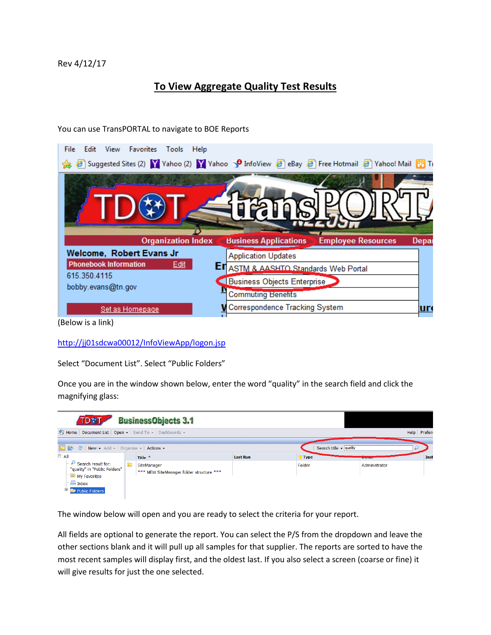## **To View Aggregate Quality Test Results**

| View<br>File<br>Edit<br>Favorites Tools<br>Help                                                       |                                              |                           |       |
|-------------------------------------------------------------------------------------------------------|----------------------------------------------|---------------------------|-------|
| <b>P</b> Suggested Sites (2) Y Yahoo (2) Y Yahoo SO InfoView P eBay P Free Hotmail P Yahoo! Mail B Ti |                                              |                           |       |
|                                                                                                       |                                              |                           |       |
|                                                                                                       |                                              |                           |       |
|                                                                                                       |                                              |                           |       |
|                                                                                                       |                                              |                           |       |
|                                                                                                       |                                              |                           |       |
| <b>Organization Index</b>                                                                             | <b>Business Applications</b>                 | <b>Employee Resources</b> | Depar |
| Welcome, Robert Evans Jr                                                                              | <b>Application Updates</b>                   |                           |       |
| <b>Phonebook Information</b><br>Edit                                                                  | <b>EI</b> ASTM & AASHTO Standards Web Portal |                           |       |
| 615.350.4115                                                                                          | Business Objects Enterprise                  |                           |       |
| bobby.evans@tn.gov                                                                                    | <b>Commuting Benetits</b>                    |                           |       |
| Set as Homepage                                                                                       | <b>W</b> Correspondence Tracking System      |                           | ur    |

You can use TransPORTAL to navigate to BOE Reports

(Below is a link)

<http://jj01sdcwa00012/InfoViewApp/logon.jsp>

Select "Document List". Select "Public Folders"

Once you are in the window shown below, enter the word "quality" in the search field and click the magnifying glass:

| TD参T                                                                                                                               |    | <b>BusinessObjects 3.1</b>                              |                 |        |                                 |               |              |
|------------------------------------------------------------------------------------------------------------------------------------|----|---------------------------------------------------------|-----------------|--------|---------------------------------|---------------|--------------|
| Home   Document List   Open -   Send To -   Dashboards -                                                                           |    |                                                         |                 |        |                                 |               | Help Prefere |
| ⊟≞ All                                                                                                                             |    | Title $+$                                               | <b>Last Run</b> | 7 Type | Search title $\sqrt{q}$ quality | ∼<br>-------- | Inst         |
| $\vdash \mathcal{P}$ Search result for:<br>"quality" in "Public Folders"<br>My Favorites<br>$-\Box$ Inbox<br>$+$<br>Public Folders | Iò | SiteManager<br>*** NEW SiteManager folder structure *** |                 | Folder |                                 | Administrator |              |

The window below will open and you are ready to select the criteria for your report.

All fields are optional to generate the report. You can select the P/S from the dropdown and leave the other sections blank and it will pull up all samples for that supplier. The reports are sorted to have the most recent samples will display first, and the oldest last. If you also select a screen (coarse or fine) it will give results for just the one selected.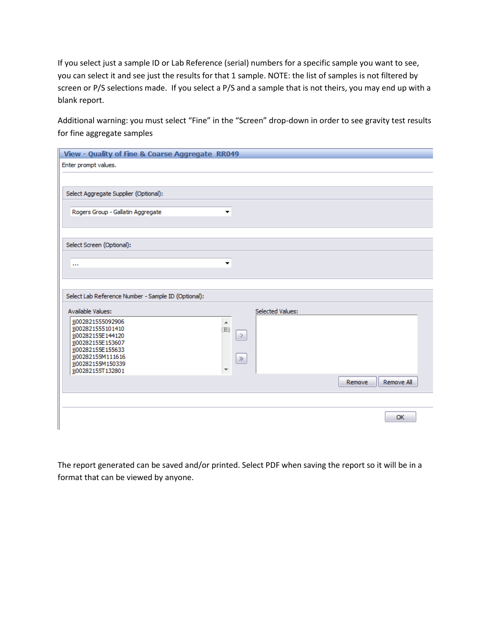If you select just a sample ID or Lab Reference (serial) numbers for a specific sample you want to see, you can select it and see just the results for that 1 sample. NOTE: the list of samples is not filtered by screen or P/S selections made. If you select a P/S and a sample that is not theirs, you may end up with a blank report.

Additional warning: you must select "Fine" in the "Screen" drop-down in order to see gravity test results for fine aggregate samples

| View - Quality of Fine & Coarse Aggregate RR049     |         |                  |        |            |
|-----------------------------------------------------|---------|------------------|--------|------------|
| Enter prompt values.                                |         |                  |        |            |
|                                                     |         |                  |        |            |
|                                                     |         |                  |        |            |
| Select Aggregate Supplier (Optional):               |         |                  |        |            |
| Rogers Group - Gallatin Aggregate                   | ▼       |                  |        |            |
|                                                     |         |                  |        |            |
|                                                     |         |                  |        |            |
| Select Screen (Optional):                           |         |                  |        |            |
|                                                     |         |                  |        |            |
| $\cdots$                                            | ▼       |                  |        |            |
|                                                     |         |                  |        |            |
|                                                     |         |                  |        |            |
| Select Lab Reference Number - Sample ID (Optional): |         |                  |        |            |
| Available Values:                                   |         | Selected Values: |        |            |
| jj002821555092906                                   | Ą       |                  |        |            |
| jj002821555101410<br>jj00282155E144120              | 国<br>-> |                  |        |            |
| jj00282155E153607<br>jj00282155E155633              |         |                  |        |            |
| jj00282155M111616                                   | $\gg$   |                  |        |            |
| jj00282155M150339<br>jj00282155T132801              |         |                  |        |            |
|                                                     |         |                  | Remove | Remove All |
|                                                     |         |                  |        |            |
|                                                     |         |                  |        |            |
|                                                     |         |                  |        | <b>OK</b>  |
|                                                     |         |                  |        |            |

The report generated can be saved and/or printed. Select PDF when saving the report so it will be in a format that can be viewed by anyone.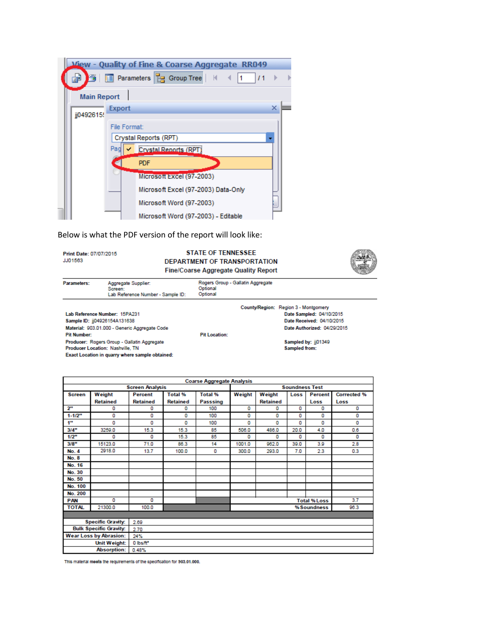|                    |                                     | <b>View - Quality of Fine &amp; Coarse Aggregate RR049</b> |   |  |  |  |  |
|--------------------|-------------------------------------|------------------------------------------------------------|---|--|--|--|--|
| Ħ                  |                                     | <b>FE Parameters B</b> Group Tree   K<br>71                |   |  |  |  |  |
| <b>Main Report</b> |                                     |                                                            |   |  |  |  |  |
| ii0492615          | Export                              |                                                            | × |  |  |  |  |
|                    | File Format:                        |                                                            |   |  |  |  |  |
|                    |                                     | Crystal Reports (RPT)                                      |   |  |  |  |  |
|                    | Pac<br><b>Crystal Renorts (RPT)</b> |                                                            |   |  |  |  |  |
|                    | <b>PDF</b>                          |                                                            |   |  |  |  |  |
|                    |                                     | Microsoft Excel (97-2003)                                  |   |  |  |  |  |
|                    |                                     | Microsoft Excel (97-2003) Data-Only                        |   |  |  |  |  |
|                    |                                     | Microsoft Word (97-2003)                                   |   |  |  |  |  |
|                    |                                     | Microsoft Word (97-2003) - Editable                        |   |  |  |  |  |

Below is what the PDF version of the report will look like:

Print Date: 07/07/2015 JJ01563

Producer: Rogers Group - Gallatin Aggregate<br>Producer Location: Nashville, TN

Exact Location in quarry where sample obtained:

**STATE OF TENNESSEE** DEPARTMENT OF TRANSPORTATION Fine/Coarse Aggregate Quality Report



| <b>Parameters:</b>                            | Aggregate Supplier:<br>Screen:<br>Lab Reference Number - Sample ID: | Rogers Group - Gallatin Aggregate<br>Optional<br>Optional |  |                                      |  |
|-----------------------------------------------|---------------------------------------------------------------------|-----------------------------------------------------------|--|--------------------------------------|--|
|                                               |                                                                     |                                                           |  | County/Region: Region 3 - Montgomery |  |
| Lab Reference Number: 15PA231                 |                                                                     |                                                           |  | Date Sampled: 04/10/2015             |  |
| Sample ID: ii04926154A131638                  |                                                                     |                                                           |  | Date Received: 04/10/2015            |  |
| Material: 903.01.000 - Generic Aggregate Code |                                                                     |                                                           |  | Date Authorized: 04/29/2015          |  |
| <b>Pit Number:</b>                            |                                                                     | <b>Pit Location:</b>                                      |  |                                      |  |

Sampled by: jj01349<br>Sampled from:

| <b>Coarse Aggregate Analysis</b> |                               |                          |                 |                       |             |                           |      |                     |                    |
|----------------------------------|-------------------------------|--------------------------|-----------------|-----------------------|-------------|---------------------------|------|---------------------|--------------------|
| <b>Screen Analysis</b>           |                               |                          |                 | <b>Soundness Test</b> |             |                           |      |                     |                    |
| <b>Screen</b>                    | Weight                        | Percent                  | Total %         | <b>Total %</b>        | Weight      | Weight<br>Percent<br>Loss |      |                     | <b>Corrected %</b> |
|                                  | <b>Retained</b>               | <b>Retained</b>          | <b>Retained</b> | Passsing              |             | <b>Retained</b>           |      | Loss                | Loss               |
| 2 <sup>m</sup>                   | 0                             | ۵                        | o               | 100                   | o           | o                         | 0    | o                   | o                  |
| $1 - 1/2"$                       | 0                             | 0                        | 0               | 100                   | o           | 0                         | 0    | o                   | o                  |
| 4"                               | 0                             | o                        | 0               | 100                   | 0           | 0                         | o    | o                   | o                  |
| 3/4"                             | 3259.0                        | 15.3                     | 15.3            | 85                    | 506.0       | 486.0                     | 20.0 | 4.0                 | 0.6                |
| 1/2"                             | o                             | 0                        | 15.3            | 85                    | o           | 0                         | 0    | 0                   | o                  |
| 3/8"                             | 15123.0                       | 71.0                     | 86.3            | 14                    | 1001.0      | 962.0                     | 39.0 | 3.9                 | 2.8                |
| No. 4                            | 2918.0                        | 13.7                     | 100.0           | 0                     | 300.0       | 293.0                     | 7.0  | 2.3                 | 0.3                |
| <b>No. 8</b>                     |                               |                          |                 |                       |             |                           |      |                     |                    |
| No. 16                           |                               |                          |                 |                       |             |                           |      |                     |                    |
| No. 30                           |                               |                          |                 |                       |             |                           |      |                     |                    |
| No. 50                           |                               |                          |                 |                       |             |                           |      |                     |                    |
| No. 100                          |                               |                          |                 |                       |             |                           |      |                     |                    |
| No. 200                          |                               |                          |                 |                       |             |                           |      |                     |                    |
| <b>PAN</b>                       | 0                             | o                        |                 |                       |             |                           |      | <b>Total % Loss</b> | 3.7                |
| <b>TOTAL</b>                     | 21300.0                       | 100.0                    |                 |                       | % Soundness |                           |      |                     | 96.3               |
|                                  |                               |                          |                 |                       |             |                           |      |                     |                    |
|                                  | <b>Specific Gravity:</b>      | 2.69                     |                 |                       |             |                           |      |                     |                    |
|                                  | <b>Bulk Specific Gravity:</b> | 2.70                     |                 |                       |             |                           |      |                     |                    |
|                                  | <b>Wear Loss by Abrasion:</b> | 24%                      |                 |                       |             |                           |      |                     |                    |
|                                  | Unit Weight:                  | $0$ lbs/ $\mathsf{ft}^n$ |                 |                       |             |                           |      |                     |                    |
|                                  | <b>Absorption:</b>            | 0.48%                    |                 |                       |             |                           |      |                     |                    |

This material meets the requirements of the specification for 903.01.000.